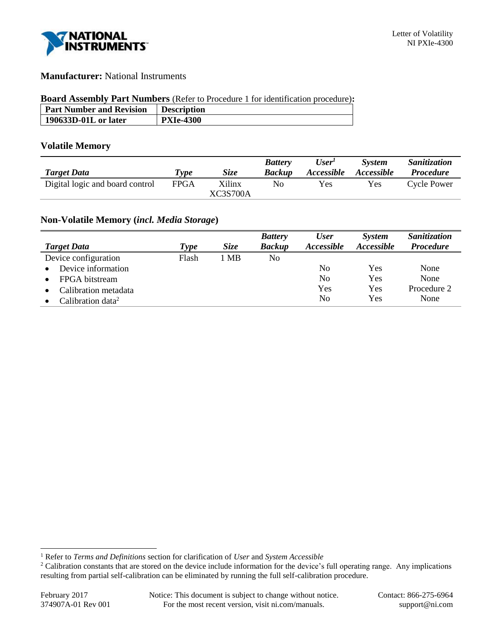

## **Manufacturer:** National Instruments

#### **Board Assembly Part Numbers** (Refer to Procedure 1 for identification procedure)**:**

| <b>Part Number and Revision</b> | <b>Description</b> |
|---------------------------------|--------------------|
| 190633D-01L or later            | <b>PXIe-4300</b>   |
|                                 |                    |

### **Volatile Memory**

|                                 |             |                           | <b>Battery</b> | User <sup>1</sup> | <i>System</i>     | Sanitization       |
|---------------------------------|-------------|---------------------------|----------------|-------------------|-------------------|--------------------|
| <b>Target Data</b>              | Type        | Size                      | <b>Backup</b>  | <i>Accessible</i> | <i>Accessible</i> | <i>Procedure</i>   |
| Digital logic and board control | <b>FPGA</b> | Xilinx<br><b>XC3S700A</b> | Nο             | Yes               | Yes               | <b>Cycle Power</b> |
|                                 |             |                           |                |                   |                   |                    |

# **Non-Volatile Memory (***incl. Media Storage***)**

|                                   |       |             | <b>Battery</b> | <b>User</b>       | <b>System</b>     | Sanitization     |
|-----------------------------------|-------|-------------|----------------|-------------------|-------------------|------------------|
| <b>Target Data</b>                | Type  | <i>Size</i> | <b>Backup</b>  | <i>Accessible</i> | <i>Accessible</i> | <b>Procedure</b> |
| Device configuration              | Flash | 1 MB        | N <sub>o</sub> |                   |                   |                  |
| Device information<br>$\bullet$   |       |             |                | No                | Yes               | None             |
| FPGA bitstream                    |       |             |                | No                | Yes               | None             |
| Calibration metadata<br>$\bullet$ |       |             |                | Yes               | Yes               | Procedure 2      |
| Calibration data <sup>2</sup>     |       |             |                | No                | Yes               | None             |

l

<sup>1</sup> Refer to *Terms and Definitions* section for clarification of *User* and *System Accessible*

<sup>&</sup>lt;sup>2</sup> Calibration constants that are stored on the device include information for the device's full operating range. Any implications resulting from partial self-calibration can be eliminated by running the full self-calibration procedure.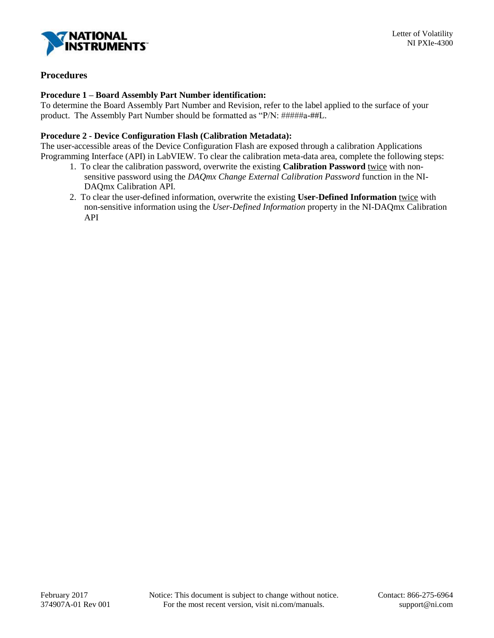

## **Procedures**

### **Procedure 1 – Board Assembly Part Number identification:**

To determine the Board Assembly Part Number and Revision, refer to the label applied to the surface of your product. The Assembly Part Number should be formatted as "P/N: #####a-##L.

#### **Procedure 2 - Device Configuration Flash (Calibration Metadata):**

The user-accessible areas of the Device Configuration Flash are exposed through a calibration Applications Programming Interface (API) in LabVIEW. To clear the calibration meta-data area, complete the following steps:

- 1. To clear the calibration password, overwrite the existing **Calibration Password** twice with nonsensitive password using the *DAQmx Change External Calibration Password* function in the NI-DAQmx Calibration API.
- 2. To clear the user-defined information, overwrite the existing **User-Defined Information** twice with non-sensitive information using the *User-Defined Information* property in the NI-DAQmx Calibration API